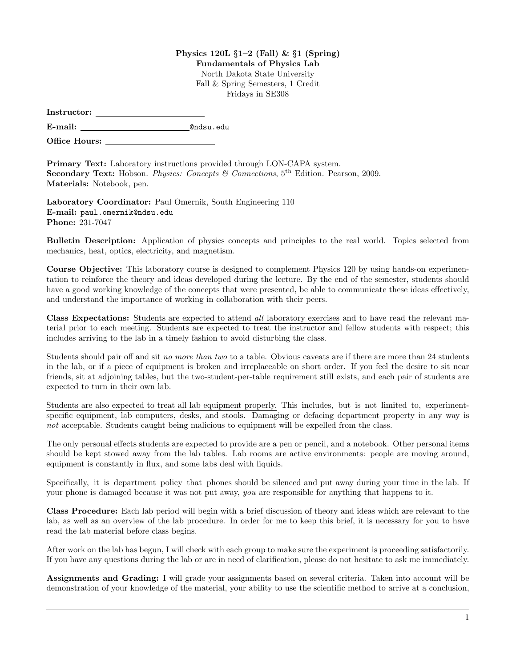## Physics 120L  $\S1-2$  (Fall) &  $\S1$  (Spring)

Fundamentals of Physics Lab

North Dakota State University Fall & Spring Semesters, 1 Credit Fridays in SE308

| Instructor: |  |
|-------------|--|
|             |  |

E-mail: @ndsu.edu

Office Hours: \_

Primary Text: Laboratory instructions provided through LON-CAPA system. Secondary Text: Hobson. Physics: Concepts & Connections, 5<sup>th</sup> Edition. Pearson, 2009. Materials: Notebook, pen.

Laboratory Coordinator: Paul Omernik, South Engineering 110 E-mail: paul.omernik@ndsu.edu Phone: 231-7047

Bulletin Description: Application of physics concepts and principles to the real world. Topics selected from mechanics, heat, optics, electricity, and magnetism.

Course Objective: This laboratory course is designed to complement Physics 120 by using hands-on experimentation to reinforce the theory and ideas developed during the lecture. By the end of the semester, students should have a good working knowledge of the concepts that were presented, be able to communicate these ideas effectively, and understand the importance of working in collaboration with their peers.

Class Expectations: Students are expected to attend all laboratory exercises and to have read the relevant material prior to each meeting. Students are expected to treat the instructor and fellow students with respect; this includes arriving to the lab in a timely fashion to avoid disturbing the class.

Students should pair off and sit no more than two to a table. Obvious caveats are if there are more than 24 students in the lab, or if a piece of equipment is broken and irreplaceable on short order. If you feel the desire to sit near friends, sit at adjoining tables, but the two-student-per-table requirement still exists, and each pair of students are expected to turn in their own lab.

Students are also expected to treat all lab equipment properly. This includes, but is not limited to, experimentspecific equipment, lab computers, desks, and stools. Damaging or defacing department property in any way is not acceptable. Students caught being malicious to equipment will be expelled from the class.

The only personal effects students are expected to provide are a pen or pencil, and a notebook. Other personal items should be kept stowed away from the lab tables. Lab rooms are active environments: people are moving around, equipment is constantly in flux, and some labs deal with liquids.

Specifically, it is department policy that phones should be silenced and put away during your time in the lab. If your phone is damaged because it was not put away, you are responsible for anything that happens to it.

Class Procedure: Each lab period will begin with a brief discussion of theory and ideas which are relevant to the lab, as well as an overview of the lab procedure. In order for me to keep this brief, it is necessary for you to have read the lab material before class begins.

After work on the lab has begun, I will check with each group to make sure the experiment is proceeding satisfactorily. If you have any questions during the lab or are in need of clarification, please do not hesitate to ask me immediately.

Assignments and Grading: I will grade your assignments based on several criteria. Taken into account will be demonstration of your knowledge of the material, your ability to use the scientific method to arrive at a conclusion,